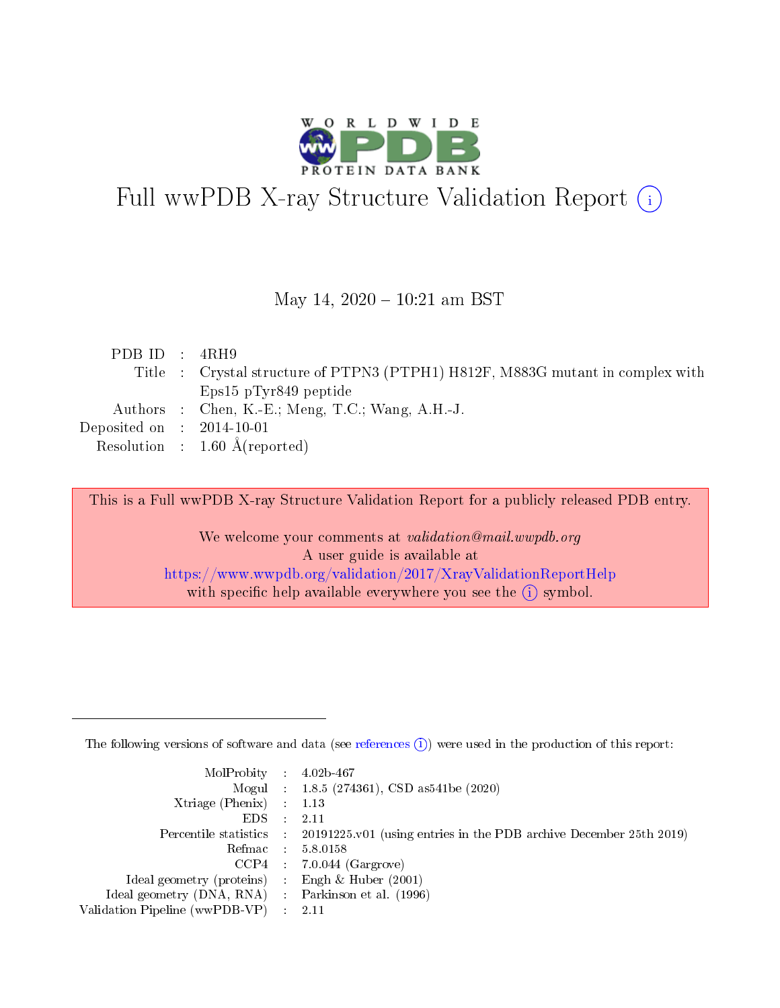

# Full wwPDB X-ray Structure Validation Report (i)

#### May 14,  $2020 - 10:21$  am BST

| PDB ID : $4RH9$             |                                                                                |
|-----------------------------|--------------------------------------------------------------------------------|
|                             | Title : Crystal structure of PTPN3 (PTPH1) H812F, M883G mutant in complex with |
|                             | Eps15 pTyr849 peptide                                                          |
|                             | Authors : Chen, K.-E.; Meng, T.C.; Wang, A.H.-J.                               |
| Deposited on : $2014-10-01$ |                                                                                |
|                             | Resolution : $1.60 \text{ Å}$ (reported)                                       |

This is a Full wwPDB X-ray Structure Validation Report for a publicly released PDB entry.

We welcome your comments at validation@mail.wwpdb.org A user guide is available at <https://www.wwpdb.org/validation/2017/XrayValidationReportHelp> with specific help available everywhere you see the  $(i)$  symbol.

The following versions of software and data (see [references](https://www.wwpdb.org/validation/2017/XrayValidationReportHelp#references)  $(1)$ ) were used in the production of this report:

| $MolProbability$ 4.02b-467                          |               |                                                                                            |
|-----------------------------------------------------|---------------|--------------------------------------------------------------------------------------------|
|                                                     |               | Mogul : $1.8.5$ (274361), CSD as 541be (2020)                                              |
| Xtriage (Phenix) $: 1.13$                           |               |                                                                                            |
| EDS.                                                | $\mathcal{L}$ | -2.11                                                                                      |
|                                                     |               | Percentile statistics : 20191225.v01 (using entries in the PDB archive December 25th 2019) |
|                                                     |               | Refmac $5.8.0158$                                                                          |
| CCP4                                                |               | $7.0.044$ (Gargrove)                                                                       |
| Ideal geometry (proteins)                           | $\sim$        | Engh $\&$ Huber (2001)                                                                     |
| Ideal geometry (DNA, RNA) : Parkinson et al. (1996) |               |                                                                                            |
| Validation Pipeline (wwPDB-VP) : 2.11               |               |                                                                                            |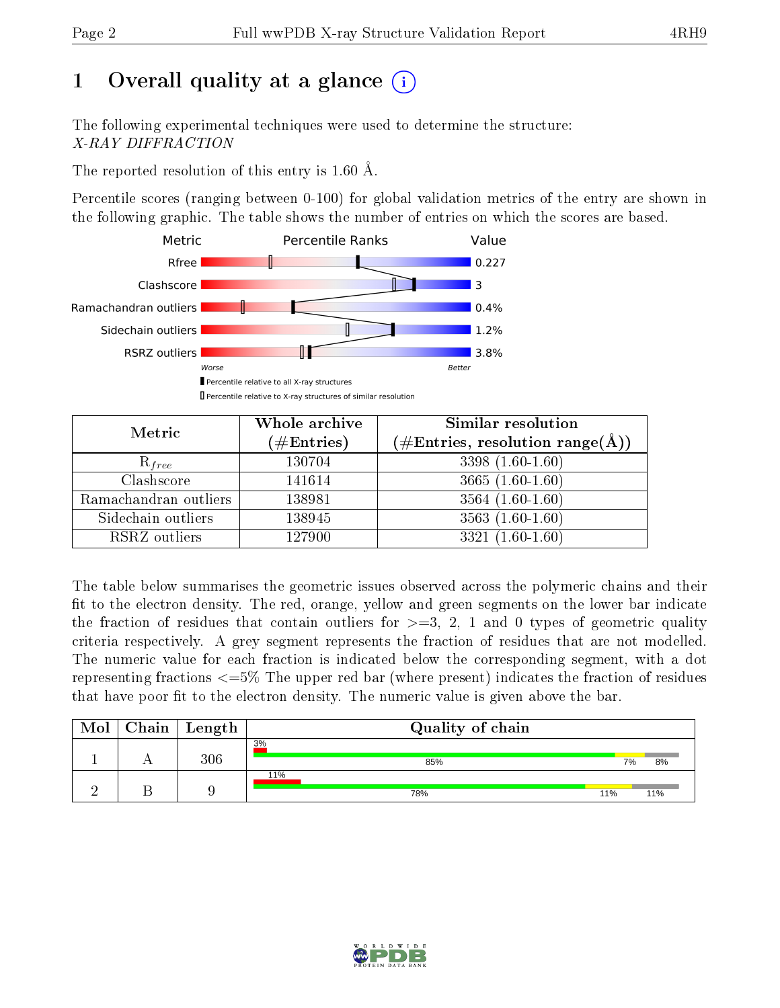## 1 [O](https://www.wwpdb.org/validation/2017/XrayValidationReportHelp#overall_quality)verall quality at a glance  $(i)$

The following experimental techniques were used to determine the structure: X-RAY DIFFRACTION

The reported resolution of this entry is 1.60 Å.

Percentile scores (ranging between 0-100) for global validation metrics of the entry are shown in the following graphic. The table shows the number of entries on which the scores are based.



| Metric                | Whole archive<br>$(\#\text{Entries})$ | Similar resolution<br>$(\#\text{Entries},\,\text{resolution}\,\,\text{range}(\textup{\AA}))$ |
|-----------------------|---------------------------------------|----------------------------------------------------------------------------------------------|
| $R_{free}$            | 130704                                | $3398(1.60-1.60)$                                                                            |
| Clashscore            | 141614                                | $3665(1.60-1.60)$                                                                            |
| Ramachandran outliers | 138981                                | $3564(1.60-1.60)$                                                                            |
| Sidechain outliers    | 138945                                | $3563(1.60-1.60)$                                                                            |
| RSRZ outliers         | 127900                                | $3321(1.60-1.60)$                                                                            |

The table below summarises the geometric issues observed across the polymeric chains and their fit to the electron density. The red, orange, yellow and green segments on the lower bar indicate the fraction of residues that contain outliers for  $>=3, 2, 1$  and 0 types of geometric quality criteria respectively. A grey segment represents the fraction of residues that are not modelled. The numeric value for each fraction is indicated below the corresponding segment, with a dot representing fractions  $\epsilon=5\%$  The upper red bar (where present) indicates the fraction of residues that have poor fit to the electron density. The numeric value is given above the bar.

| Mol | ${\bf Chain \mid Length}$ | Quality of chain |     |     |
|-----|---------------------------|------------------|-----|-----|
|     | 306                       | 3%<br>85%        | 7%  | 8%  |
|     |                           | 11%<br>78%       | 11% | 11% |

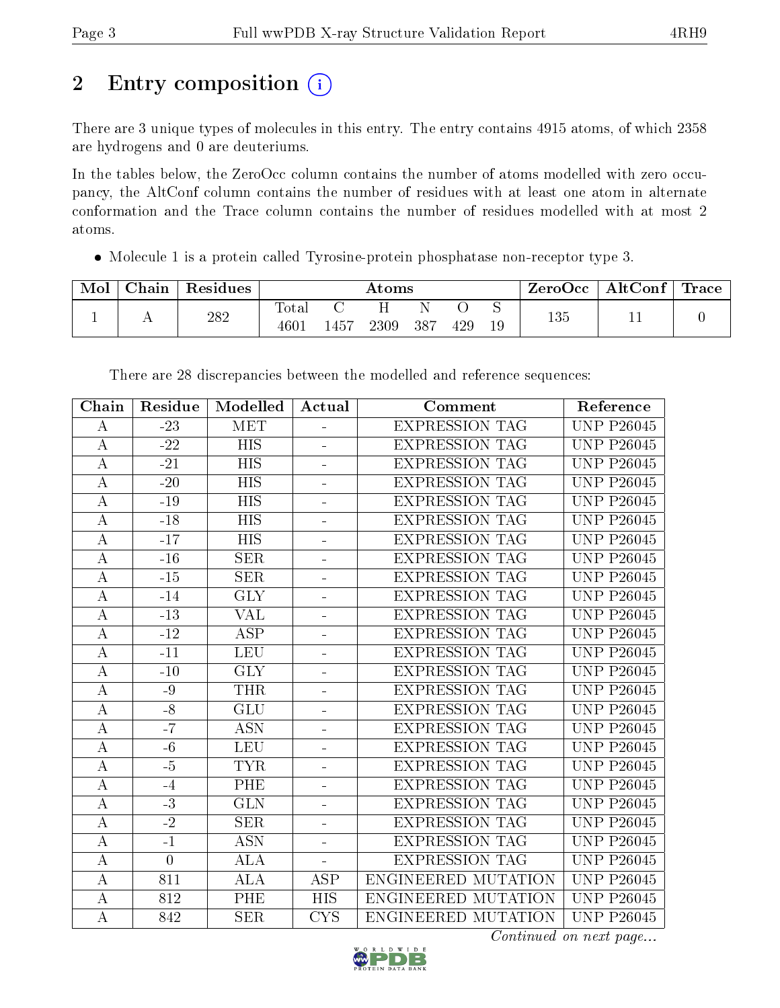# 2 Entry composition (i)

There are 3 unique types of molecules in this entry. The entry contains 4915 atoms, of which 2358 are hydrogens and 0 are deuteriums.

In the tables below, the ZeroOcc column contains the number of atoms modelled with zero occupancy, the AltConf column contains the number of residues with at least one atom in alternate conformation and the Trace column contains the number of residues modelled with at most 2 atoms.

Molecule 1 is a protein called Tyrosine-protein phosphatase non-receptor type 3.

| Mol | ${\rm Chain}$  | Residues |                                  |      | $\rm{Atoms}$ |     |     |    | " ZeroOcc | $\mathrm{AltConf}$ | $\lq$ Trace |
|-----|----------------|----------|----------------------------------|------|--------------|-----|-----|----|-----------|--------------------|-------------|
|     | $\overline{1}$ | 282      | Tota <sub>1</sub><br>$460^\circ$ | 1457 | 2309         | 387 | 429 | 19 | 135       | ᆠᆂ                 |             |

|                    | Residue        | <b>Modelled</b>           | Actual                   | Comment               | Reference                      |
|--------------------|----------------|---------------------------|--------------------------|-----------------------|--------------------------------|
| А                  | $-23$          | <b>MET</b>                | $\frac{1}{2}$            | <b>EXPRESSION TAG</b> | <b>UNP P26045</b>              |
| $\boldsymbol{A}$   | $-22$          | HIS                       | $\overline{\phantom{0}}$ | <b>EXPRESSION TAG</b> | <b>UNP P26045</b>              |
| $\overline{\rm A}$ | $-21$          | <b>HIS</b>                | $\overline{\phantom{0}}$ | <b>EXPRESSION TAG</b> | <b>UNP P26045</b>              |
| A                  | $-20$          | <b>HIS</b>                |                          | <b>EXPRESSION TAG</b> | <b>UNP P26045</b>              |
| $\boldsymbol{A}$   | $-19$          | $\overline{\mathrm{HIS}}$ | $\equiv$                 | <b>EXPRESSION TAG</b> | <b>UNP P26045</b>              |
| $\bf{A}$           | $-18$          | <b>HIS</b>                | $\equiv$                 | <b>EXPRESSION TAG</b> | <b>UNP P26045</b>              |
| А                  | $-17$          | HIS                       | $\overline{\phantom{0}}$ | <b>EXPRESSION TAG</b> | <b>UNP P26045</b>              |
| $\boldsymbol{A}$   | $-16$          | <b>SER</b>                | ÷                        | <b>EXPRESSION TAG</b> | <b>UNP P26045</b>              |
| $\bf{A}$           | $-15$          | <b>SER</b>                |                          | <b>EXPRESSION TAG</b> | <b>UNP P26045</b>              |
| A                  | $-14$          | <b>GLY</b>                | $\blacksquare$           | <b>EXPRESSION TAG</b> | <b>UNP P26045</b>              |
| $\bf{A}$           | $-13$          | <b>VAL</b>                | $\blacksquare$           | <b>EXPRESSION TAG</b> | <b>UNP P26045</b>              |
| $\bf{A}$           | $-12$          | $\overline{\text{ASP}}$   | ÷                        | <b>EXPRESSION TAG</b> | $\overline{\text{UNP P26045}}$ |
| A                  | $-11$          | <b>LEU</b>                | ÷                        | <b>EXPRESSION TAG</b> | <b>UNP P26045</b>              |
| $\boldsymbol{A}$   | $-10$          | <b>GLY</b>                | $\overline{\phantom{0}}$ | <b>EXPRESSION TAG</b> | <b>UNP P26045</b>              |
| $\bf{A}$           | $-9$           | <b>THR</b>                | ÷                        | <b>EXPRESSION TAG</b> | <b>UNP P26045</b>              |
| $\boldsymbol{A}$   | $-8$           | <b>GLU</b>                | $\overline{a}$           | <b>EXPRESSION TAG</b> | <b>UNP P26045</b>              |
| $\boldsymbol{A}$   | $-7$           | <b>ASN</b>                | $\equiv$                 | <b>EXPRESSION TAG</b> | <b>UNP P26045</b>              |
| $\boldsymbol{A}$   | $-6$           | <b>LEU</b>                | -                        | <b>EXPRESSION TAG</b> | <b>UNP P26045</b>              |
| A                  | $-5$           | <b>TYR</b>                | ÷                        | <b>EXPRESSION TAG</b> | <b>UNP P26045</b>              |
| А                  | $-4$           | PHE                       | $\blacksquare$           | <b>EXPRESSION TAG</b> | $\overline{\text{UNP P26045}}$ |
| A                  | $-3$           | <b>GLN</b>                | $\equiv$                 | <b>EXPRESSION TAG</b> | <b>UNP P26045</b>              |
| A                  | $-2$           | <b>SER</b>                | $\equiv$                 | <b>EXPRESSION TAG</b> | <b>UNP P26045</b>              |
| A                  | $-1$           | <b>ASN</b>                |                          | <b>EXPRESSION TAG</b> | <b>UNP P26045</b>              |
| $\boldsymbol{A}$   | $\overline{0}$ | <b>ALA</b>                | $\blacksquare$           | <b>EXPRESSION TAG</b> | <b>UNP P26045</b>              |
| $\boldsymbol{A}$   | 811            | <b>ALA</b>                | <b>ASP</b>               | ENGINEERED MUTATION   | <b>UNP P26045</b>              |
| A                  | 812            | PHE                       | <b>HIS</b>               | ENGINEERED MUTATION   | <b>UNP P26045</b>              |
| $\bf{A}$           | 842            | <b>SER</b>                | <b>CYS</b>               | ENGINEERED MUTATION   | <b>UNP P26045</b>              |

There are 28 discrepancies between the modelled and reference sequences:



Continued on next page...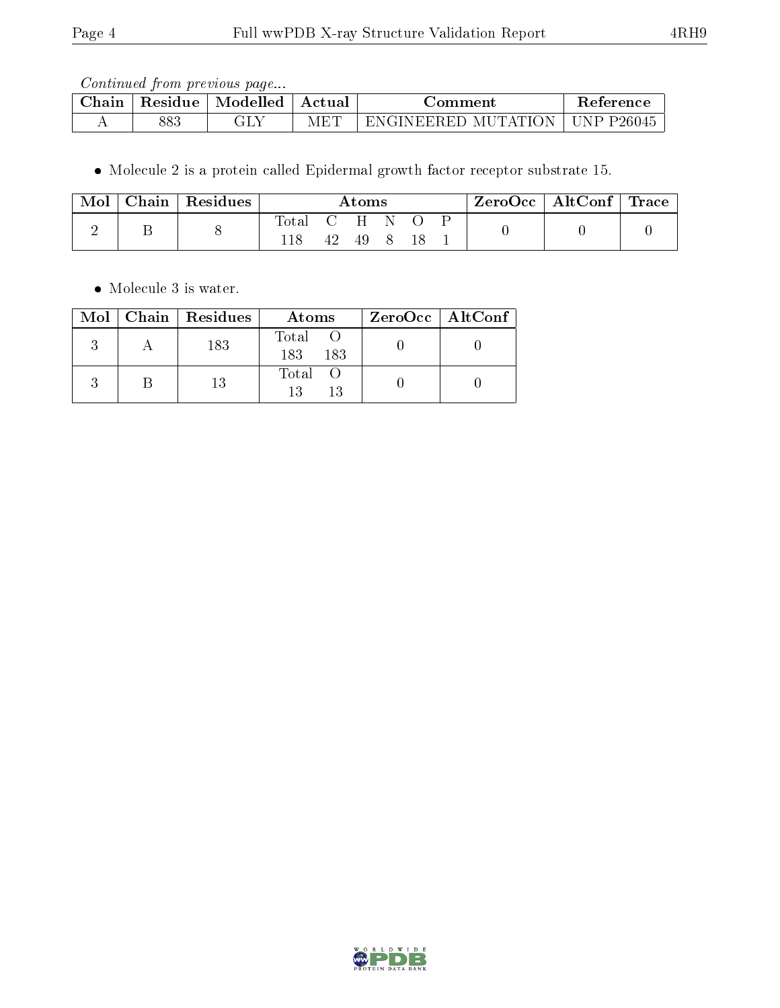Continued from previous page...

| Jhain | Residue | Modelled | Actual | <b>Comment</b>                        | teterence                     |
|-------|---------|----------|--------|---------------------------------------|-------------------------------|
|       | 883     | - 17     | IVI F  | MUTATIC.<br>:1)<br>'N GINEERE'<br>λNΓ | `D<br>P <sub>26045</sub><br>N |

 $\bullet$  Molecule 2 is a protein called Epidermal growth factor receptor substrate 15.

| Mol | Chain | $\vert$ Residues |       |         | Atoms |  | $\text{ZeroOcc} \mid \text{AltConf} \mid \text{Trace}$ |  |
|-----|-------|------------------|-------|---------|-------|--|--------------------------------------------------------|--|
|     |       |                  | Total | C H N O | 49    |  |                                                        |  |

• Molecule 3 is water.

|  | Mol   Chain   Residues | Atoms               | $ZeroOcc$   AltConf |
|--|------------------------|---------------------|---------------------|
|  | 183                    | Total<br>183<br>183 |                     |
|  | -13                    | Total O<br>13<br>13 |                     |

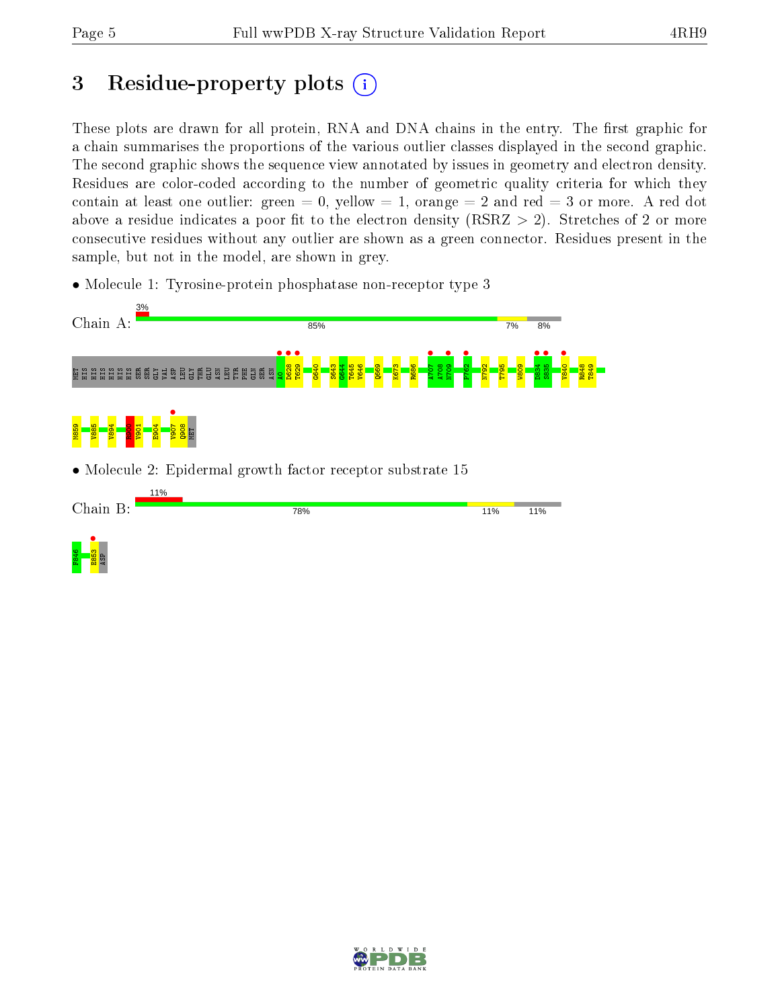## 3 Residue-property plots  $(i)$

These plots are drawn for all protein, RNA and DNA chains in the entry. The first graphic for a chain summarises the proportions of the various outlier classes displayed in the second graphic. The second graphic shows the sequence view annotated by issues in geometry and electron density. Residues are color-coded according to the number of geometric quality criteria for which they contain at least one outlier: green  $= 0$ , yellow  $= 1$ , orange  $= 2$  and red  $= 3$  or more. A red dot above a residue indicates a poor fit to the electron density (RSRZ  $> 2$ ). Stretches of 2 or more consecutive residues without any outlier are shown as a green connector. Residues present in the sample, but not in the model, are shown in grey.

• Molecule 1: Tyrosine-protein phosphatase non-receptor type 3



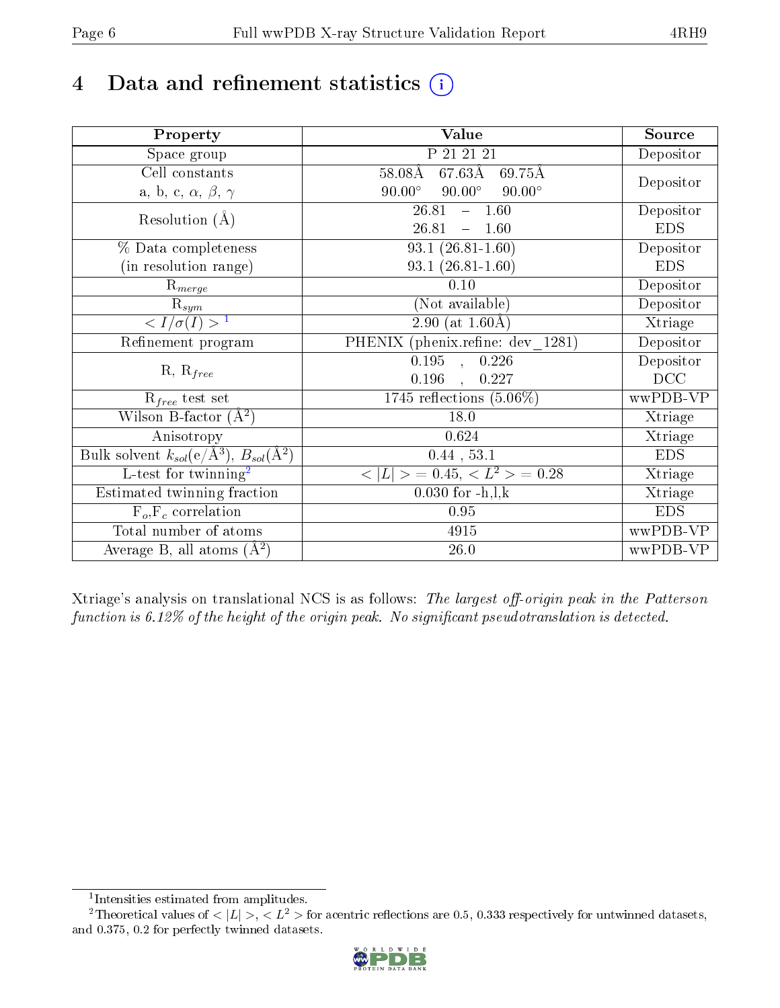## 4 Data and refinement statistics  $(i)$

| Property                                                             | <b>Value</b>                                     | Source     |
|----------------------------------------------------------------------|--------------------------------------------------|------------|
| Space group                                                          | P 21 21 21                                       | Depositor  |
| Cell constants                                                       | $67.63\text{\AA}$<br>$58.08\text{\AA}$<br>69.75Å |            |
| a, b, c, $\alpha$ , $\beta$ , $\gamma$                               | $90.00^\circ$<br>$90.00^\circ$<br>$90.00^\circ$  | Depositor  |
| Resolution $(A)$                                                     | 26.81<br>$-1.60$                                 | Depositor  |
|                                                                      | 26.81<br>1.60<br>$\equiv$                        | <b>EDS</b> |
| % Data completeness                                                  | $93.1(26.81-1.60)$                               | Depositor  |
| (in resolution range)                                                | $93.1(26.81-1.60)$                               | <b>EDS</b> |
| $R_{merge}$                                                          | 0.10                                             | Depositor  |
| $\mathrm{R}_{sym}$                                                   | (Not available)                                  | Depositor  |
| $\langle I/\sigma(I) \rangle^{-1}$                                   | 2.90 (at $1.60\text{\AA}$ )                      | Xtriage    |
| Refinement program                                                   | PHENIX (phenix.refine: dev 1281)                 | Depositor  |
|                                                                      | $\overline{0.195}$ ,<br>0.226                    | Depositor  |
| $R, R_{free}$                                                        | 0.196<br>0.227<br>$\mathcal{L}$                  | DCC        |
| $R_{free}$ test set                                                  | $1745$ reflections $(5.06\%)$                    | wwPDB-VP   |
| Wilson B-factor $(A^2)$                                              | 18.0                                             | Xtriage    |
| Anisotropy                                                           | 0.624                                            | Xtriage    |
| Bulk solvent $k_{sol}(e/\mathring{A}^3)$ , $B_{sol}(\mathring{A}^2)$ | $0.44$ , 53.1                                    | <b>EDS</b> |
| L-test for twinning <sup>2</sup>                                     | $>$ = 0.45, < $L^2$ > = 0.28<br>< L              | Xtriage    |
| Estimated twinning fraction                                          | $0.030$ for $-h, l, k$                           | Xtriage    |
| $F_o, F_c$ correlation                                               | 0.95                                             | <b>EDS</b> |
| Total number of atoms                                                | 4915                                             | wwPDB-VP   |
| Average B, all atoms $(A^2)$                                         | $26.0\,$                                         | wwPDB-VP   |

Xtriage's analysis on translational NCS is as follows: The largest off-origin peak in the Patterson function is  $6.12\%$  of the height of the origin peak. No significant pseudotranslation is detected.

<sup>&</sup>lt;sup>2</sup>Theoretical values of  $\langle |L| \rangle$ ,  $\langle L^2 \rangle$  for acentric reflections are 0.5, 0.333 respectively for untwinned datasets, and 0.375, 0.2 for perfectly twinned datasets.



<span id="page-5-1"></span><span id="page-5-0"></span><sup>1</sup> Intensities estimated from amplitudes.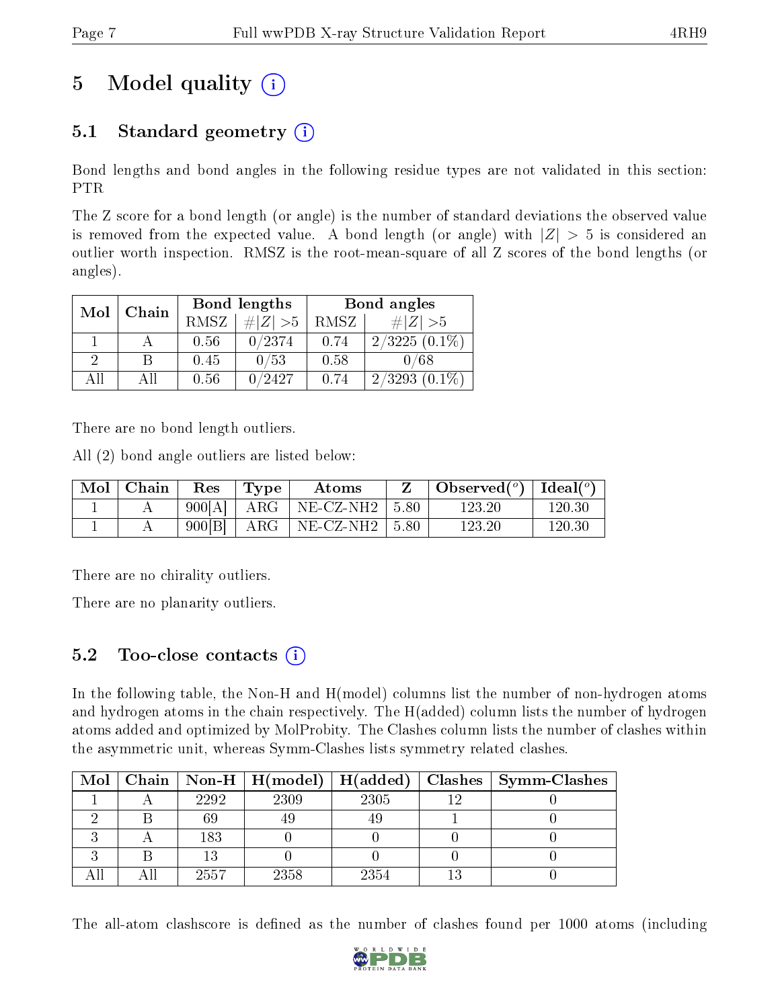## 5 Model quality  $(i)$

### 5.1 Standard geometry  $(i)$

Bond lengths and bond angles in the following residue types are not validated in this section: PTR

The Z score for a bond length (or angle) is the number of standard deviations the observed value is removed from the expected value. A bond length (or angle) with  $|Z| > 5$  is considered an outlier worth inspection. RMSZ is the root-mean-square of all Z scores of the bond lengths (or angles).

| Mol | Chain |             | Bond lengths | Bond angles |                 |  |
|-----|-------|-------------|--------------|-------------|-----------------|--|
|     |       | <b>RMSZ</b> | $\# Z  > 5$  | RMSZ        | $\ Z\  > 5$     |  |
|     |       | 0.56        | 0/2374       | 0.74        | $2/3225(0.1\%)$ |  |
| 2   | В     | 0.45        | 0/53         | 0.58        | 0/68            |  |
| ΔH  | ΑH    | 0.56        | 0/2427       | 0.74        | $2/3293(0.1\%)$ |  |

There are no bond length outliers.

All (2) bond angle outliers are listed below:

| $\mid$ Mol $\mid$ Chain | Res      | Type        | Atoms                                   | Observed( $^{\circ}$ )   Ideal( $^{\circ}$ ) |            |
|-------------------------|----------|-------------|-----------------------------------------|----------------------------------------------|------------|
|                         | $900[A]$ |             | $\mid$ ARG $\mid$ NE-CZ-NH2 $\mid$ 5.80 | 123.20                                       | $120.30\,$ |
|                         | 900[B]   | $+$ ARG $+$ | NE-CZ-NH2   5.80                        | 123.20                                       | 120.30     |

There are no chirality outliers.

There are no planarity outliers.

#### 5.2 Too-close contacts  $\overline{a}$

In the following table, the Non-H and H(model) columns list the number of non-hydrogen atoms and hydrogen atoms in the chain respectively. The H(added) column lists the number of hydrogen atoms added and optimized by MolProbity. The Clashes column lists the number of clashes within the asymmetric unit, whereas Symm-Clashes lists symmetry related clashes.

| Mol |      | $\mid$ Chain $\mid$ Non-H $\mid$ H(model) $\mid$ H(added) $\mid$ |      | $\vert$ Clashes $\vert$ Symm-Clashes |
|-----|------|------------------------------------------------------------------|------|--------------------------------------|
|     | 2292 | 2309                                                             | 2305 |                                      |
|     | 69   |                                                                  |      |                                      |
|     | 183  |                                                                  |      |                                      |
|     |      |                                                                  |      |                                      |
|     | 2557 | 2358                                                             | 2354 |                                      |

The all-atom clashscore is defined as the number of clashes found per 1000 atoms (including

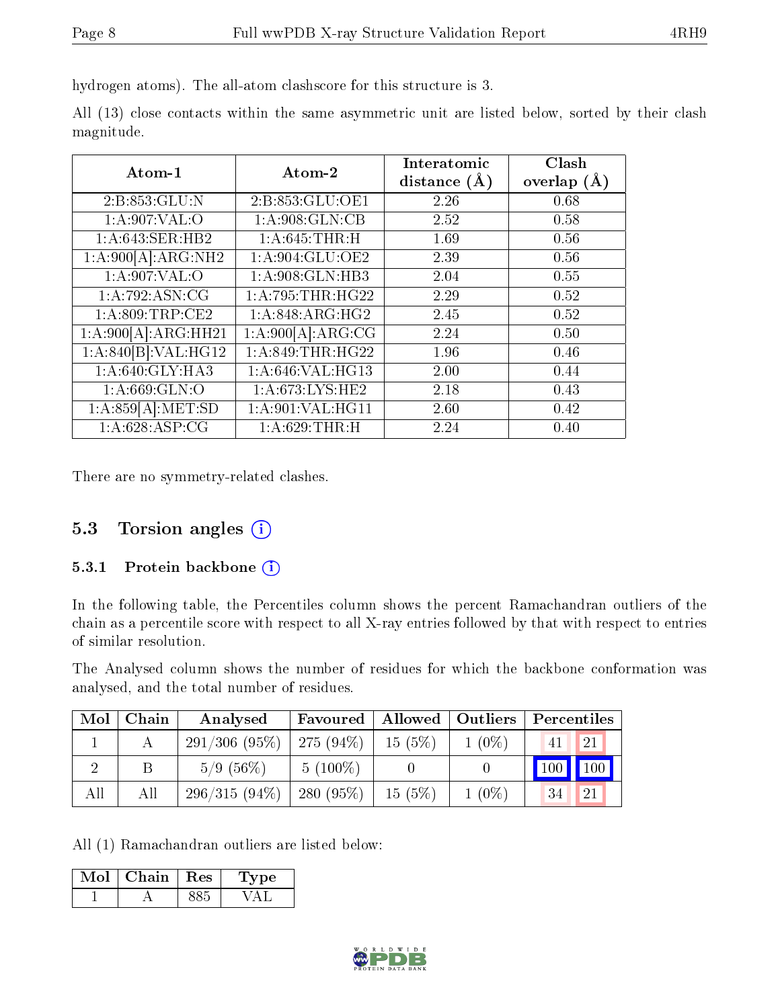hydrogen atoms). The all-atom clashscore for this structure is 3.

|            |  |  | All (13) close contacts within the same asymmetric unit are listed below, sorted by their clash |  |  |  |  |
|------------|--|--|-------------------------------------------------------------------------------------------------|--|--|--|--|
| magnitude. |  |  |                                                                                                 |  |  |  |  |

| Atom-1                          | Atom-2            | Interatomic      | Clash           |
|---------------------------------|-------------------|------------------|-----------------|
|                                 |                   | distance $(\AA)$ | overlap $(\AA)$ |
| 2:B:853:GLU:N                   | 2:B:853:GLU:OE1   | 2.26             | 0.68            |
| 1: A:907: VAL:O                 | 1:A:908:GLN:CB    | 2.52             | 0.58            |
| 1:A:643:SER:HB2                 | 1: A:645:THR:H    | 1.69             | 0.56            |
| 1:A:900[A]:ARG:NH2              | 1:A:904:GLU:OE2   | 2.39             | 0.56            |
| 1: A:907: VAL:O                 | 1:A:908:GLN:HB3   | 2.04             | 0.55            |
| 1:A:792:ASN:CG                  | 1: A:795:THR:HG22 | 2.29             | 0.52            |
| 1:A:809:TRP:CE2                 | 1:A:848:ARG:HG2   | 2.45             | 0.52            |
| 1:A:900[A]:ARG:HH21             | 1:A:900[A]:ARG:CG | 2.24             | 0.50            |
| 1:A:840[B]:VAL:H <sub>G12</sub> | 1: A:849:THR:HG22 | 1.96             | 0.46            |
| 1:A:640:GLY:HA3                 | 1:A:646:VAL:HG13  | 2.00             | 0.44            |
| 1: A:669: GLN:O                 | 1:A:673:LYS:HE2   | 2.18             | 0.43            |
| 1:A:859[A]:MET:SD               | 1:A:901:VAL:HG11  | 2.60             | 0.42            |
| 1:A:628:ASP:CG                  | 1: A:629:THR:H    | 2.24             | 0.40            |

There are no symmetry-related clashes.

#### 5.3 Torsion angles (i)

#### 5.3.1 Protein backbone  $(i)$

In the following table, the Percentiles column shows the percent Ramachandran outliers of the chain as a percentile score with respect to all X-ray entries followed by that with respect to entries of similar resolution.

The Analysed column shows the number of residues for which the backbone conformation was analysed, and the total number of residues.

| Mol | Chain | Analysed        | Favoured     |        | Allowed   Outliers | Percentiles            |
|-----|-------|-----------------|--------------|--------|--------------------|------------------------|
|     |       | 291/306(95%)    | $275(94\%)$  | 15(5%) | $1(0\%)$           | 21<br>41               |
|     |       | $5/9(56\%)$     | $5(100\%)$   |        |                    | $\parallel$ 100<br>100 |
| All | All   | $296/315(94\%)$ | 280 $(95\%)$ | 15(5%) | $1(0\%)$           | 34<br>21               |

All (1) Ramachandran outliers are listed below:

| Mol | Chain. | Res | vpe<br>-12 |
|-----|--------|-----|------------|
|     |        |     |            |

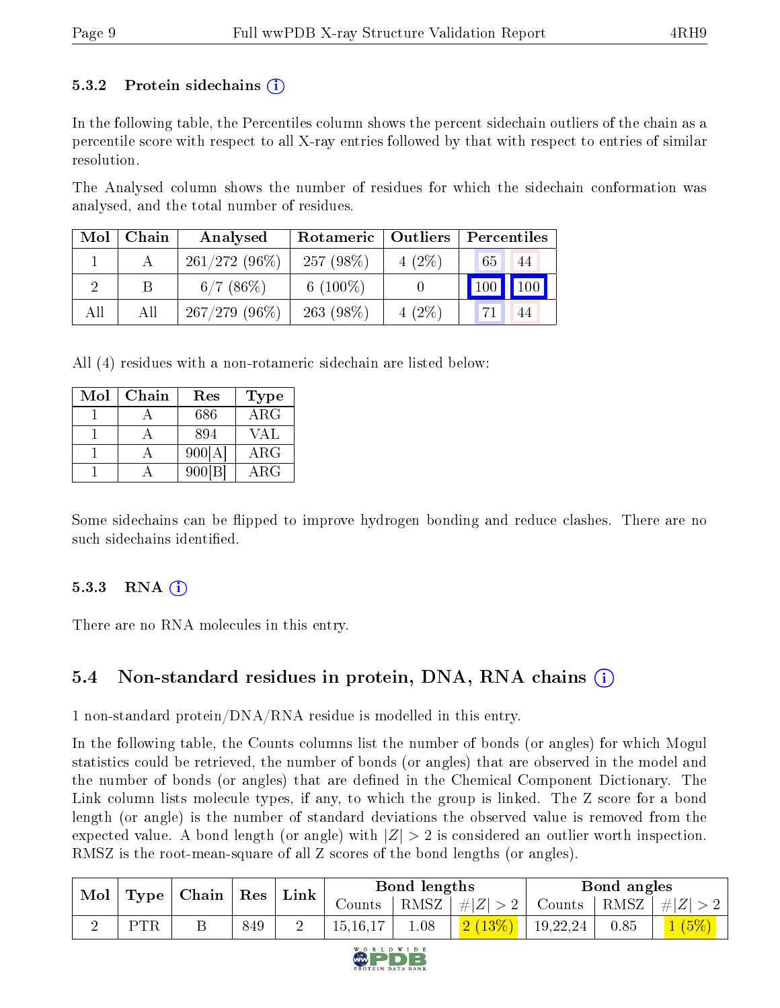#### 5.3.2 Protein sidechains  $\left( \mathbf{r} \right)$

In the following table, the Percentiles column shows the percent sidechain outliers of the chain as a percentile score with respect to all X-ray entries followed by that with respect to entries of similar resolution.

The Analysed column shows the number of residues for which the sidechain conformation was analysed, and the total number of residues.

| Mol | Chain | Analysed        | Rotameric    | Outliers | Percentiles |
|-----|-------|-----------------|--------------|----------|-------------|
|     |       | $261/272(96\%)$ | 257 $(98\%)$ | $4(2\%)$ | 65<br>44    |
|     |       | 6/7(86%)        | 6 $(100\%)$  |          | 100<br>100  |
| All | All   | $267/279(96\%)$ | $263(98\%)$  | $4(2\%)$ | 44          |

All (4) residues with a non-rotameric sidechain are listed below:

| Mol | Chain | Res       | <b>Type</b>          |
|-----|-------|-----------|----------------------|
|     |       | 686       | $\overline{\rm ARG}$ |
|     |       | 894       | VAL                  |
|     |       | 900[A]    | $\rm{ARG}$           |
|     |       | $900$ [B] | $\rm{ARG}$           |

Some sidechains can be flipped to improve hydrogen bonding and reduce clashes. There are no such sidechains identified.

#### 5.3.3 RNA  $(i)$

There are no RNA molecules in this entry.

### 5.4 Non-standard residues in protein, DNA, RNA chains (i)

1 non-standard protein/DNA/RNA residue is modelled in this entry.

In the following table, the Counts columns list the number of bonds (or angles) for which Mogul statistics could be retrieved, the number of bonds (or angles) that are observed in the model and the number of bonds (or angles) that are defined in the Chemical Component Dictionary. The Link column lists molecule types, if any, to which the group is linked. The Z score for a bond length (or angle) is the number of standard deviations the observed value is removed from the expected value. A bond length (or angle) with  $|Z| > 2$  is considered an outlier worth inspection. RMSZ is the root-mean-square of all Z scores of the bond lengths (or angles).

| $\bf{Mol}$ | Type | $\mid$ Chain $\mid$ | Res | Link |            | Bond lengths |                    |          | Bond angles |                     |
|------------|------|---------------------|-----|------|------------|--------------|--------------------|----------|-------------|---------------------|
|            |      |                     |     |      | Counts -   |              | RMSZ   $\# Z  > 2$ | Counts   |             | $ RMSZ  \#  Z  > 2$ |
|            | DTR  |                     | 849 |      | 15, 16, 17 | 1.08         | 2(13%)             | 19,22,24 | 0.85        | (5%)                |

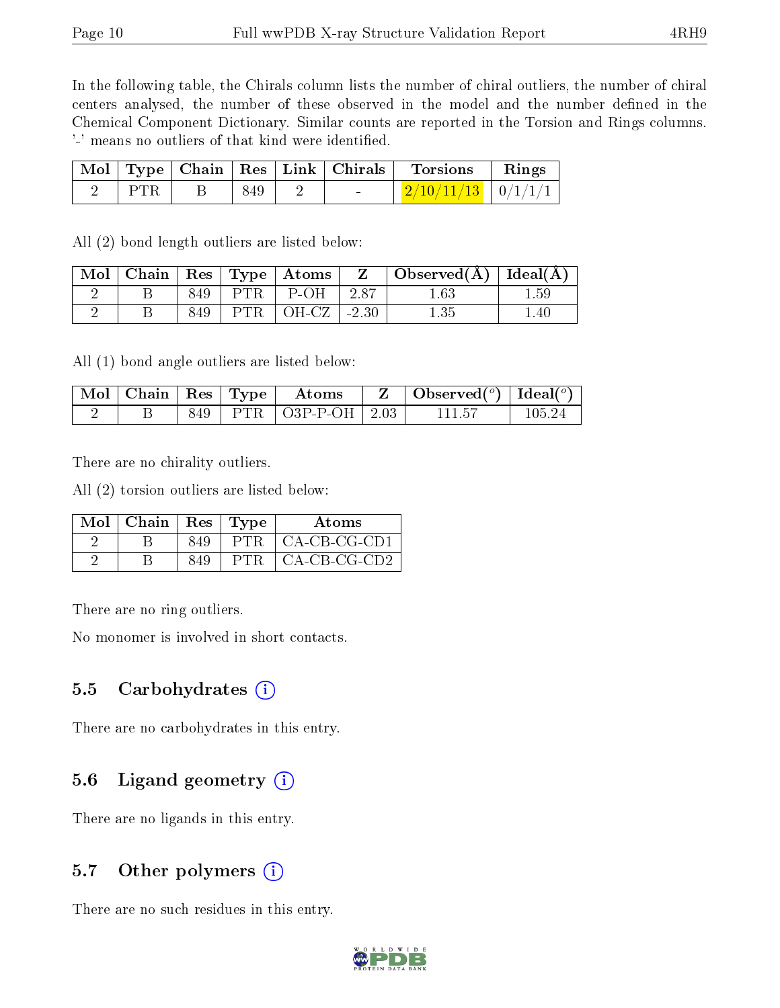In the following table, the Chirals column lists the number of chiral outliers, the number of chiral centers analysed, the number of these observed in the model and the number defined in the Chemical Component Dictionary. Similar counts are reported in the Torsion and Rings columns. '-' means no outliers of that kind were identified.

|       |     |  | $\mid$ Mol $\mid$ Type $\mid$ Chain $\mid$ Res $\mid$ Link $\mid$ Chirals $\mid$ Torsions | Rings |
|-------|-----|--|-------------------------------------------------------------------------------------------|-------|
| - PTR | 849 |  | $\mid$ 2/10/11/13 $\mid$ 0/1/1/1 $\mid$                                                   |       |

All (2) bond length outliers are listed below:

| Mol | Chain | $\operatorname{Res}$ |     | $\vert$ Type $\vert$ Atoms |         | Observed $(A)$   Ideal $(A)$ |      |
|-----|-------|----------------------|-----|----------------------------|---------|------------------------------|------|
|     |       | 849                  | PTR | P-OH                       | 2.87    |                              | 1.59 |
|     |       | 849                  | PTR | OH-CZ                      | $-2.30$ |                              | l.40 |

All (1) bond angle outliers are listed below:

| $\mid$ Mol $\mid$ Chain $\mid$ Res $\mid$ Type $\mid$ |  | Atoms                         | Observed $(^\circ)$   Ideal $(^\circ)$ |        |
|-------------------------------------------------------|--|-------------------------------|----------------------------------------|--------|
|                                                       |  | $849$   PTR   O3P-P-OH   2.03 |                                        | 105-24 |

There are no chirality outliers.

All (2) torsion outliers are listed below:

| $Mol$   Chain   Res   Type |     |       | Atoms        |
|----------------------------|-----|-------|--------------|
|                            | 849 | PTR ' | CA-CB-CG-CD1 |
|                            | 849 | PTR.  | CA-CB-CG-CD2 |

There are no ring outliers.

No monomer is involved in short contacts.

#### 5.5 Carbohydrates  $(i)$

There are no carbohydrates in this entry.

#### 5.6 Ligand geometry  $(i)$

There are no ligands in this entry.

#### 5.7 [O](https://www.wwpdb.org/validation/2017/XrayValidationReportHelp#nonstandard_residues_and_ligands)ther polymers  $(i)$

There are no such residues in this entry.

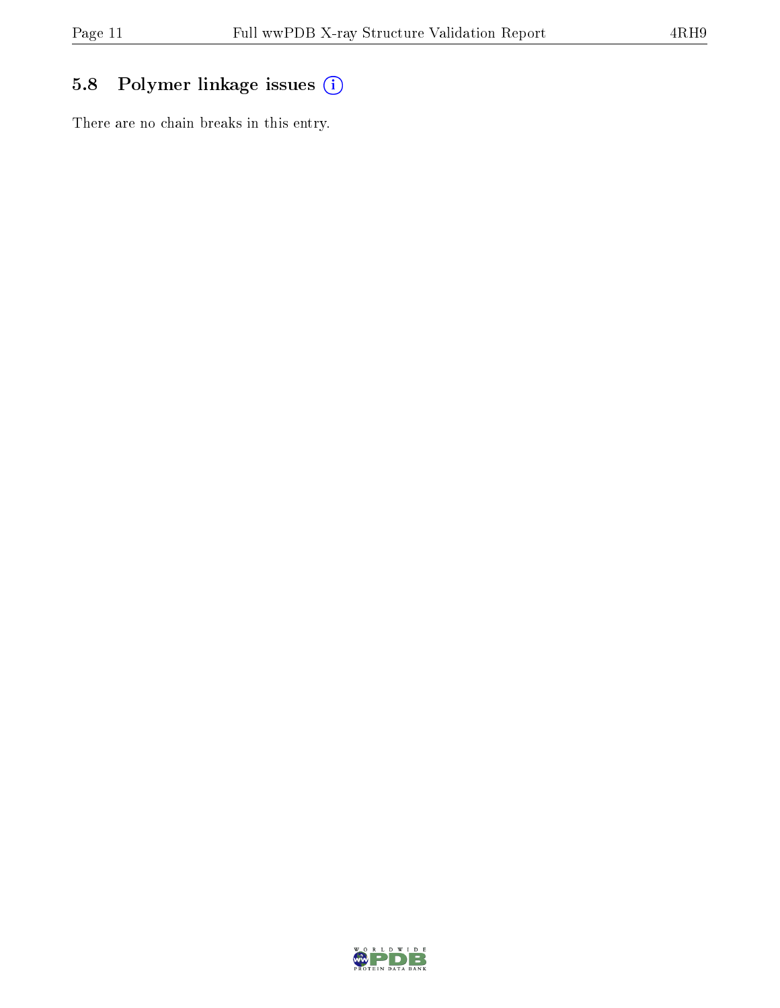### 5.8 Polymer linkage issues (i)

There are no chain breaks in this entry.

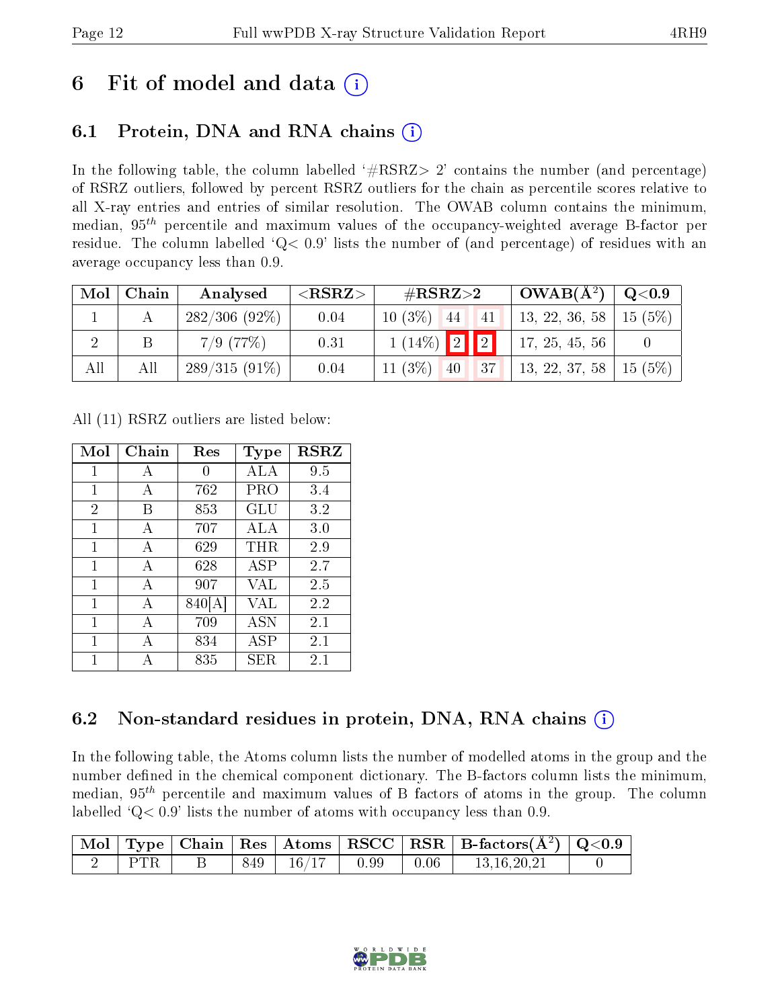## 6 Fit of model and data  $\left( \cdot \right)$

## 6.1 Protein, DNA and RNA chains (i)

In the following table, the column labelled  $#RSRZ>2'$  contains the number (and percentage) of RSRZ outliers, followed by percent RSRZ outliers for the chain as percentile scores relative to all X-ray entries and entries of similar resolution. The OWAB column contains the minimum, median,  $95<sup>th</sup>$  percentile and maximum values of the occupancy-weighted average B-factor per residue. The column labelled  $Q< 0.9$  lists the number of (and percentage) of residues with an average occupancy less than 0.9.

| Mol | $\mid$ Chain | Analysed        | ${ <\hspace{-1.5pt} {\rm RSRZ} \hspace{-1.5pt}>}$ | # $RSRZ>2$          | $\vert$ OWAB( $\rm \AA^2) \vert$ | $\mid \text{ Q}<$ 0.9 |
|-----|--------------|-----------------|---------------------------------------------------|---------------------|----------------------------------|-----------------------|
|     |              | 282/306(92%)    | 0.04                                              | $10(3\%)$ 44 41     | 13, 22, 36, 58   15 (5%)         |                       |
|     |              | $7/9$ (77\%)    | 0.31                                              | $1(14\%)$ 2 2       | 17, 25, 45, 56                   |                       |
| All | All          | $289/315(91\%)$ | 0.04                                              | $11(3\%)$ 40<br> 37 | 13, 22, 37, 58   15 (5%)         |                       |

All (11) RSRZ outliers are listed below:

| Mol            | Chain | Res    | Type        | <b>RSRZ</b> |  |
|----------------|-------|--------|-------------|-------------|--|
| 1              | А     | 0      | ALA         | 9.5         |  |
| 1              | А     | 762    | PRO         | 3.4         |  |
| $\overline{2}$ | В     | 853    | GLU         | 3.2         |  |
| $\mathbf 1$    | А     | 707    | ALA         | 3.0         |  |
| 1              | А     | 629    | $\rm THR$   | 2.9         |  |
| 1              | A     | 628    | ASP         | 2.7         |  |
| 1              | А     | 907    | VAL         | 2.5         |  |
| 1              | А     | 840[A] | VAL         | 2.2         |  |
| 1              | А     | 709    | <b>ASN</b>  | $2.1\,$     |  |
| 1              | А     | 834    | ASP         | 2.1         |  |
| 1              | А     | 835    | ${\rm SER}$ | 2.1         |  |

### 6.2 Non-standard residues in protein, DNA, RNA chains (i)

In the following table, the Atoms column lists the number of modelled atoms in the group and the number defined in the chemical component dictionary. The B-factors column lists the minimum, median,  $95<sup>th</sup>$  percentile and maximum values of B factors of atoms in the group. The column labelled  $Q< 0.9$  lists the number of atoms with occupancy less than 0.9.

|  |      |              |      | $\boxed{\text{Mol}}$ Type   Chain   Res   Atoms   RSCC   RSR   B-factors $\left(\AA^2\right)$   Q<0.9 |  |
|--|------|--------------|------|-------------------------------------------------------------------------------------------------------|--|
|  | 849. | $16/17$ 0.99 | 0.06 | 13.16.20.21                                                                                           |  |